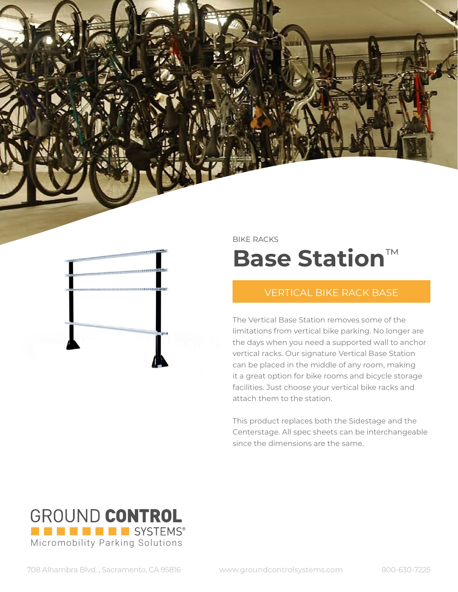BIKE RACKS

## **Base Station**™

## VERTICAL BIKE RACK BASE

The Vertical Base Station removes some of the limitations from vertical bike parking. No longer are the days when you need a supported wall to anchor vertical racks. Our signature Vertical Base Station can be placed in the middle of any room, making it a great option for bike rooms and bicycle storage facilities. Just choose your vertical bike racks and attach them to the station.

This product replaces both the Sidestage and the Centerstage. All spec sheets can be interchangeable since the dimensions are the same.